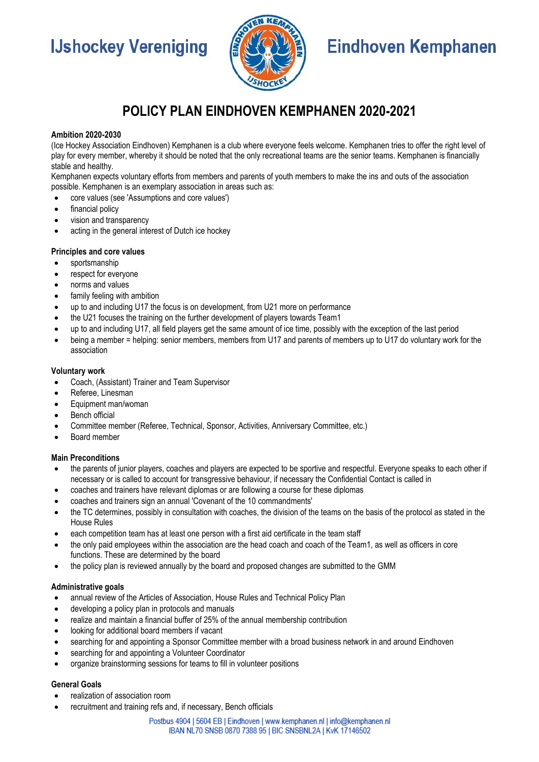# **IJshockey Vereniging**



# **Eindhoven Kemphanen**

# **POLICY PLAN EINDHOVEN KEMPHANEN 2020-2021**

# **Ambition 2020-2030**

(Ice Hockey Association Eindhoven) Kemphanen is a club where everyone feels welcome. Kemphanen tries to offer the right level of play for every member, whereby it should be noted that the only recreational teams are the senior teams. Kemphanen is financially stable and healthy.

Kemphanen expects voluntary efforts from members and parents of youth members to make the ins and outs of the association possible. Kemphanen is an exemplary association in areas such as:

- core values (see 'Assumptions and core values')
- financial policy
- vision and transparency
- acting in the general interest of Dutch ice hockey

### **Principles and core values**

- sportsmanship
- respect for everyone
- norms and values
- family feeling with ambition
- up to and including U17 the focus is on development, from U21 more on performance
- the U21 focuses the training on the further development of players towards Team1
- up to and including U17, all field players get the same amount of ice time, possibly with the exception of the last period
- being a member = helping: senior members, members from U17 and parents of members up to U17 do voluntary work for the association

### **Voluntary work**

- Coach, (Assistant) Trainer and Team Supervisor
- Referee, Linesman
- Equipment man/woman
- Bench official
- Committee member (Referee, Technical, Sponsor, Activities, Anniversary Committee, etc.)
- Board member

#### **Main Preconditions**

- the parents of junior players, coaches and players are expected to be sportive and respectful. Everyone speaks to each other if necessary or is called to account for transgressive behaviour, if necessary the Confidential Contact is called in
- coaches and trainers have relevant diplomas or are following a course for these diplomas
- coaches and trainers sign an annual 'Covenant of the 10 commandments'
- the TC determines, possibly in consultation with coaches, the division of the teams on the basis of the protocol as stated in the House Rules
- each competition team has at least one person with a first aid certificate in the team staff
- the only paid employees within the association are the head coach and coach of the Team1, as well as officers in core functions. These are determined by the board
- the policy plan is reviewed annually by the board and proposed changes are submitted to the GMM

#### **Administrative goals**

- annual review of the Articles of Association, House Rules and Technical Policy Plan
- developing a policy plan in protocols and manuals
- realize and maintain a financial buffer of 25% of the annual membership contribution
- looking for additional board members if vacant
- searching for and appointing a Sponsor Committee member with a broad business network in and around Eindhoven
- searching for and appointing a Volunteer Coordinator
- organize brainstorming sessions for teams to fill in volunteer positions

### **General Goals**

- realization of association room
- recruitment and training refs and, if necessary, Bench officials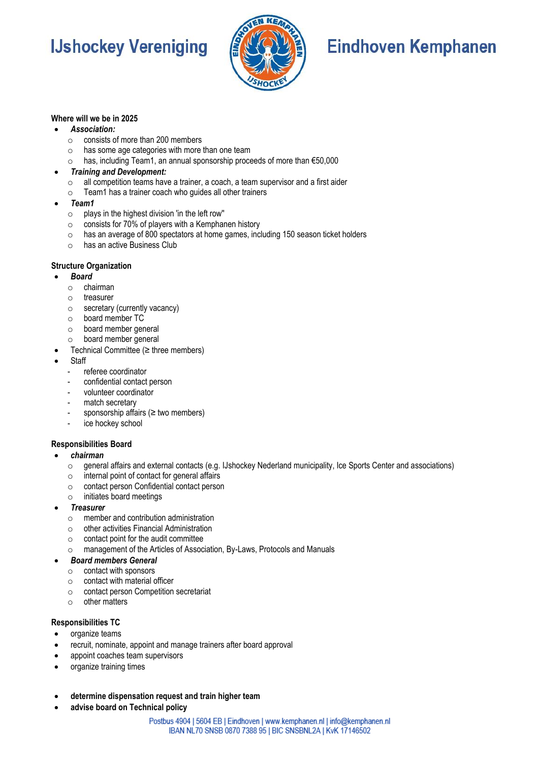# **IJshockey Vereniging**



# **Eindhoven Kemphanen**

# **Where will we be in 2025**

# • *Association:*

- o consists of more than 200 members
- $\circ$  has some age categories with more than one team
- o has, including Team1, an annual sponsorship proceeds of more than €50,000
- *Training and Development:*
	- o all competition teams have a trainer, a coach, a team supervisor and a first aider
	- o Team1 has a trainer coach who guides all other trainers
- *Team1*
	- $\circ$  plays in the highest division 'in the left row"
	- o consists for 70% of players with a Kemphanen history
	- o has an average of 800 spectators at home games, including 150 season ticket holders
	- $\circ$  has an active Business Club

### **Structure Organization**

- *Board*
	- o chairman
	- o treasurer
	- o secretary (currently vacancy)
	- o board member TC
	- o board member general
	- o board member general
- Technical Committee (≥ three members)
- **Staff** 
	- referee coordinator
	- confidential contact person
	- volunteer coordinator
	- match secretary
	- sponsorship affairs ( $\geq$  two members)
	- ice hockey school

# **Responsibilities Board**

- *chairman*
	- o general affairs and external contacts (e.g. IJshockey Nederland municipality, Ice Sports Center and associations)
	- o internal point of contact for general affairs
	- o contact person Confidential contact person
	- o initiates board meetings
- *Treasurer*
	- o member and contribution administration
	- o other activities Financial Administration
	- o contact point for the audit committee
	- o management of the Articles of Association, By-Laws, Protocols and Manuals
- *Board members General*
	- o contact with sponsors
	- o contact with material officer
	- o contact person Competition secretariat
	- o other matters

# **Responsibilities TC**

- organize teams
- recruit, nominate, appoint and manage trainers after board approval
- appoint coaches team supervisors
- organize training times
- **determine dispensation request and train higher team**
- **advise board on Technical policy**